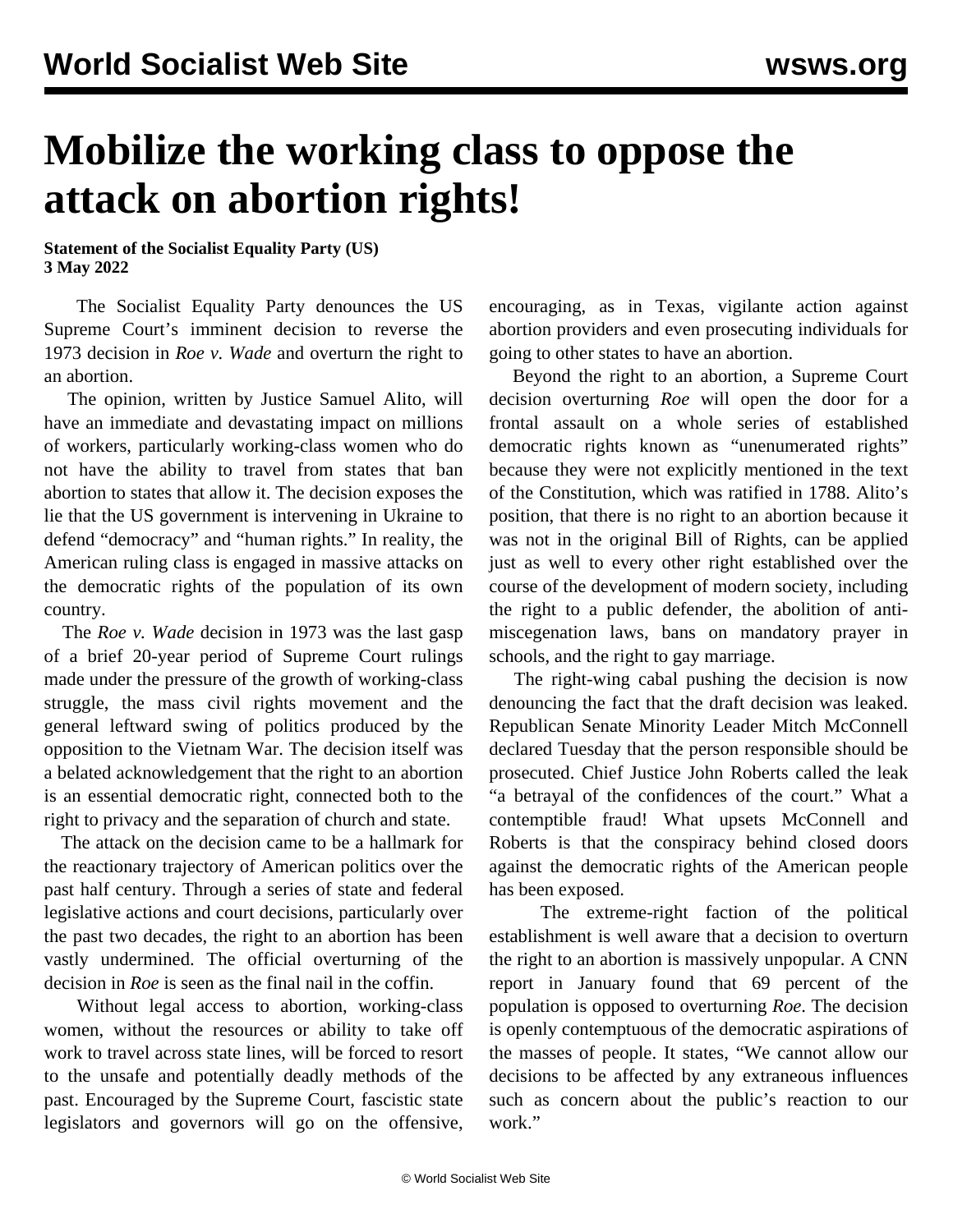## **Mobilize the working class to oppose the attack on abortion rights!**

**Statement of the Socialist Equality Party (US) 3 May 2022**

 The Socialist Equality Party denounces the US Supreme Court's imminent decision to reverse the 1973 decision in *Roe v. Wade* and overturn the right to an abortion.

 The opinion, written by Justice Samuel Alito, will have an immediate and devastating impact on millions of workers, particularly working-class women who do not have the ability to travel from states that ban abortion to states that allow it. The decision exposes the lie that the US government is intervening in Ukraine to defend "democracy" and "human rights." In reality, the American ruling class is engaged in massive attacks on the democratic rights of the population of its own country.

 The *Roe v. Wade* decision in 1973 was the last gasp of a brief 20-year period of Supreme Court rulings made under the pressure of the growth of working-class struggle, the mass civil rights movement and the general leftward swing of politics produced by the opposition to the Vietnam War. The decision itself was a belated acknowledgement that the right to an abortion is an essential democratic right, connected both to the right to privacy and the separation of church and state.

 The attack on the decision came to be a hallmark for the reactionary trajectory of American politics over the past half century. Through a series of state and federal legislative actions and court decisions, particularly over the past two decades, the right to an abortion has been vastly undermined. The official overturning of the decision in *Roe* is seen as the final nail in the coffin.

 Without legal access to abortion, working-class women, without the resources or ability to take off work to travel across state lines, will be forced to resort to the unsafe and potentially deadly methods of the past. Encouraged by the Supreme Court, fascistic state legislators and governors will go on the offensive,

encouraging, as in Texas, vigilante action against abortion providers and even prosecuting individuals for going to other states to have an abortion.

 Beyond the right to an abortion, a Supreme Court decision overturning *Roe* will open the door for a frontal assault on a whole series of established democratic rights known as "unenumerated rights" because they were not explicitly mentioned in the text of the Constitution, which was ratified in 1788. Alito's position, that there is no right to an abortion because it was not in the original Bill of Rights, can be applied just as well to every other right established over the course of the development of modern society, including the right to a public defender, the abolition of antimiscegenation laws, bans on mandatory prayer in schools, and the right to gay marriage.

 The right-wing cabal pushing the decision is now denouncing the fact that the draft decision was leaked. Republican Senate Minority Leader Mitch McConnell declared Tuesday that the person responsible should be prosecuted. Chief Justice John Roberts called the leak "a betrayal of the confidences of the court." What a contemptible fraud! What upsets McConnell and Roberts is that the conspiracy behind closed doors against the democratic rights of the American people has been exposed.

 The extreme-right faction of the political establishment is well aware that a decision to overturn the right to an abortion is massively unpopular. A CNN report in January found that 69 percent of the population is opposed to overturning *Roe*. The decision is openly contemptuous of the democratic aspirations of the masses of people. It states, "We cannot allow our decisions to be affected by any extraneous influences such as concern about the public's reaction to our work."